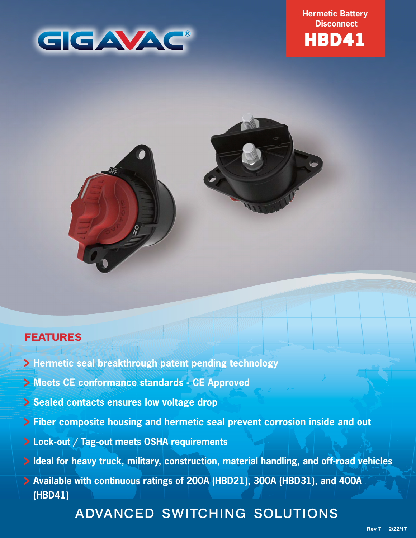

**Hermetic Battery Disconnect**





## **FEATURES**

- **Hermetic seal breakthrough patent pending technology**
- **Meets CE conformance standards CE Approved**
- **Sealed contacts ensures low voltage drop**
- **Fiber composite housing and hermetic seal prevent corrosion inside and out**
- **Lock-out / Tag-out meets OSHA requirements**
- **Ideal for heavy truck, military, construction, material handling, and off-road vehicles**
- **Available with continuous ratings of 200A (HBD21), 300A (HBD31), and 400A (HBD41)**

# ADVANCED SWITCHING SOLUTIONS

**Rev 7 2/22/17**